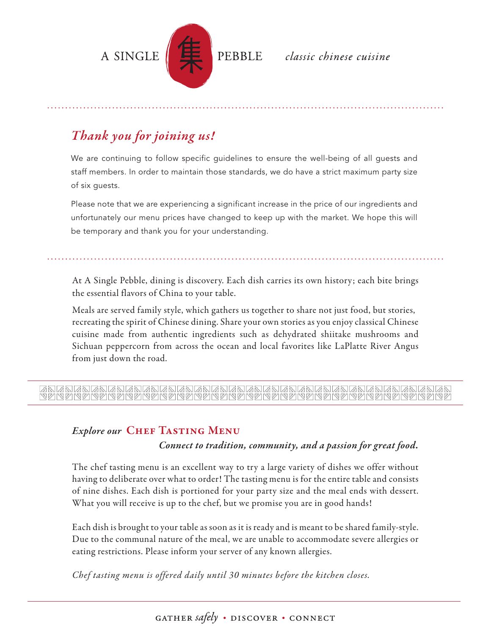

## PEBBLE classic chinese cuisine

## *Thank you for joining us!*

We are continuing to follow specific guidelines to ensure the well-being of all guests and staff members. In order to maintain those standards, we do have a strict maximum party size of six guests.

Please note that we are experiencing a significant increase in the price of our ingredients and unfortunately our menu prices have changed to keep up with the market. We hope this will be temporary and thank you for your understanding.

At A Single Pebble, dining is discovery. Each dish carries its own history; each bite brings the essential flavors of China to your table.

Meals are served family style, which gathers us together to share not just food, but stories, recreating the spirit of Chinese dining. Share your own stories as you enjoy classical Chinese cuisine made from authentic ingredients such as dehydrated shiitake mushrooms and Sichuan peppercorn from across the ocean and local favorites like LaPlatte River Angus from just down the road.

# 

## *Explore our* CHEF TASTING MENU

#### *Connect to tradition, community, and a passion for great food.*

The chef tasting menu is an excellent way to try a large variety of dishes we offer without having to deliberate over what to order! The tasting menu is for the entire table and consists of nine dishes. Each dish is portioned for your party size and the meal ends with dessert. What you will receive is up to the chef, but we promise you are in good hands!

Each dish is brought to your table as soon as it is ready and is meant to be shared family-style. Due to the communal nature of the meal, we are unable to accommodate severe allergies or eating restrictions. Please inform your server of any known allergies.

*Chef tasting menu is offered daily until 30 minutes before the kitchen closes.*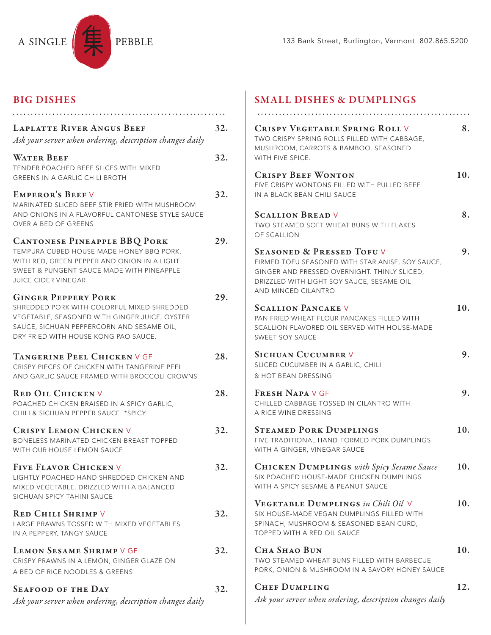

## BIG DISHES

| <b>LAPLATTE RIVER ANGUS BEEF</b><br>Ask your server when ordering, description changes daily                                                                                                                   | 32. |
|----------------------------------------------------------------------------------------------------------------------------------------------------------------------------------------------------------------|-----|
| <b>WATER BEEF</b><br>TENDER POACHED BEEF SLICES WITH MIXED<br><b>GREENS IN A GARLIC CHILI BROTH</b>                                                                                                            | 32. |
| <b>EMPEROR'S BEEFV</b><br>MARINATED SLICED BEEF STIR FRIED WITH MUSHROOM<br>AND ONIONS IN A FLAVORFUL CANTONESE STYLE SAUCE<br>OVER A BED OF GREENS                                                            | 32. |
| <b>CANTONESE PINEAPPLE BBQ PORK</b><br>TEMPURA CUBED HOUSE MADE HONEY BBQ PORK,<br>WITH RED, GREEN PEPPER AND ONION IN A LIGHT<br>SWEET & PUNGENT SAUCE MADE WITH PINEAPPLE<br><b>JUICE CIDER VINEGAR</b>      | 29. |
| <b>GINGER PEPPERY PORK</b><br>SHREDDED PORK WITH COLORFUL MIXED SHREDDED<br>VEGETABLE, SEASONED WITH GINGER JUICE, OYSTER<br>SAUCE, SICHUAN PEPPERCORN AND SESAME OIL,<br>DRY FRIED WITH HOUSE KONG PAO SAUCE. | 29. |
| TANGERINE PEEL CHICKEN V GF<br>CRISPY PIECES OF CHICKEN WITH TANGERINE PEEL<br>AND GARLIC SAUCE FRAMED WITH BROCCOLI CROWNS                                                                                    | 28. |
| <b>RED OIL CHICKENV</b><br>POACHED CHICKEN BRAISED IN A SPICY GARLIC,<br>CHILI & SICHUAN PEPPER SAUCE. * SPICY                                                                                                 | 28. |
| <b>CRISPY LEMON CHICKEN V</b><br>BONELESS MARINATED CHICKEN BREAST TOPPED<br>WITH OUR HOUSE LEMON SAUCE                                                                                                        | 32. |
| FIVE FLAVOR CHICKEN V<br>LIGHTLY POACHED HAND SHREDDED CHICKEN AND<br>MIXED VEGETABLE, DRIZZLED WITH A BALANCED<br>SICHUAN SPICY TAHINI SAUCE                                                                  | 32. |
| <b>RED CHILI SHRIMP V</b><br>LARGE PRAWNS TOSSED WITH MIXED VEGETABLES<br>IN A PEPPERY, TANGY SAUCE                                                                                                            | 32. |
| <b>LEMON SESAME SHRIMP V GF</b><br>CRISPY PRAWNS IN A LEMON, GINGER GLAZE ON<br>A BED OF RICE NOODLES & GREENS                                                                                                 | 32. |
| <b>SEAFOOD OF THE DAY</b><br>Ask your server when ordering, description changes daily                                                                                                                          | 32. |

## SMALL DISHES & DUMPLINGS

| <b>CRISPY VEGETABLE SPRING ROLL V</b><br>TWO CRISPY SPRING ROLLS FILLED WITH CABBAGE,<br>MUSHROOM, CARROTS & BAMBOO. SEASONED<br>WITH FIVE SPICE.                                                           | 8.  |
|-------------------------------------------------------------------------------------------------------------------------------------------------------------------------------------------------------------|-----|
| <b>CRISPY BEEF WONTON</b><br>FIVE CRISPY WONTONS FILLED WITH PULLED BEEF<br>IN A BLACK BEAN CHILI SAUCE                                                                                                     | 10. |
| <b>SCALLION BREAD V</b><br>TWO STEAMED SOFT WHEAT BUNS WITH FLAKES<br>OF SCALLION                                                                                                                           | 8.  |
| <b>SEASONED &amp; PRESSED TOFUV</b><br>FIRMED TOFU SEASONED WITH STAR ANISE, SOY SAUCE,<br>GINGER AND PRESSED OVERNIGHT. THINLY SLICED,<br>DRIZZLED WITH LIGHT SOY SAUCE, SESAME OIL<br>AND MINCED CILANTRO | 9.  |
| <b>SCALLION PANCAKE V</b><br>PAN FRIED WHEAT FLOUR PANCAKES FILLED WITH<br>SCALLION FLAVORED OIL SERVED WITH HOUSE-MADE<br>SWEET SOY SAUCE                                                                  | 10. |
| <b>SICHUAN CUCUMBER V</b><br>SLICED CUCUMBER IN A GARLIC, CHILI<br>& HOT BEAN DRESSING                                                                                                                      | 9.  |
| <b>FRESH NAPA V GF</b><br>CHILLED CABBAGE TOSSED IN CILANTRO WITH<br>A RICE WINE DRESSING                                                                                                                   | 9.  |
| <b>STEAMED PORK DUMPLINGS</b><br>FIVE TRADITIONAL HAND-FORMED PORK DUMPLINGS<br>WITH A GINGER, VINEGAR SAUCE                                                                                                | 10. |
| <b>CHICKEN DUMPLINGS</b> with Spicy Sesame Sauce<br>SIX POACHED HOUSE-MADE CHICKEN DUMPLINGS<br>WITH A SPICY SESAME & PEANUT SAUCE                                                                          | 10. |
| <b>VEGETABLE DUMPLINGS</b> in Chili Oil V<br>SIX HOUSE-MADE VEGAN DUMPLINGS FILLED WITH<br>SPINACH, MUSHROOM & SEASONED BEAN CURD,<br>TOPPED WITH A RED OIL SAUCE                                           | 10. |
| <b>CHA SHAO BUN</b><br>TWO STEAMED WHEAT BUNS FILLED WITH BARBECUE<br>PORK, ONION & MUSHROOM IN A SAVORY HONEY SAUCE                                                                                        | 10. |
| <b>CHEF DUMPLING</b><br>Ask your server when ordering, description changes daily                                                                                                                            | 12. |